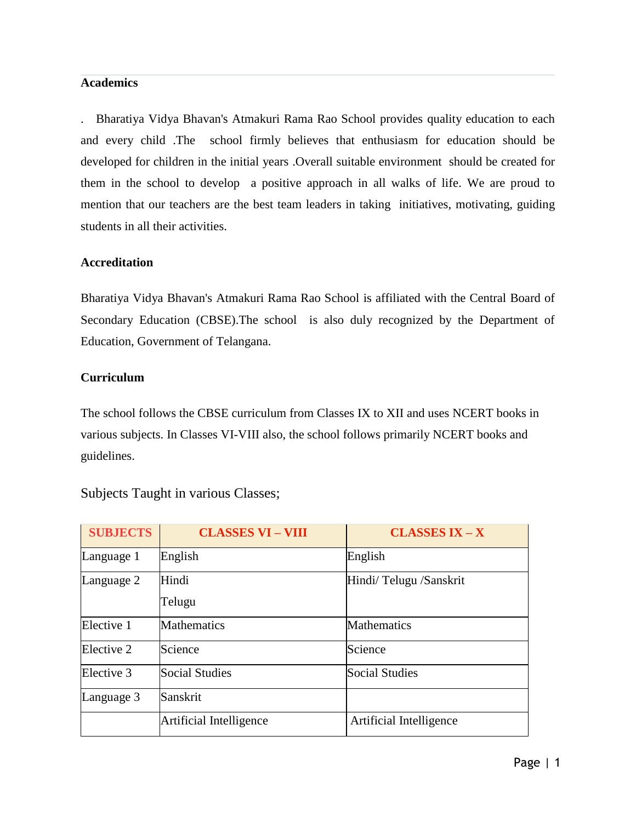#### **Academics**

. Bharatiya Vidya Bhavan's Atmakuri Rama Rao School provides quality education to each and every child .The school firmly believes that enthusiasm for education should be developed for children in the initial years .Overall suitable environment should be created for them in the school to develop a positive approach in all walks of life. We are proud to mention that our teachers are the best team leaders in taking initiatives, motivating, guiding students in all their activities.

#### **Accreditation**

Bharatiya Vidya Bhavan's Atmakuri Rama Rao School is affiliated with the Central Board of Secondary Education (CBSE).The school is also duly recognized by the Department of Education, Government of Telangana.

### **Curriculum**

The school follows the CBSE curriculum from Classes IX to XII and uses NCERT books in various subjects. In Classes VI-VIII also, the school follows primarily NCERT books and guidelines.

| <b>SUBJECTS</b> | <b>CLASSES VI - VIII</b> | <b>CLASSES IX - X</b>   |
|-----------------|--------------------------|-------------------------|
| Language 1      | English                  | English                 |
| Language 2      | Hindi<br>Telugu          | Hindi/Telugu /Sanskrit  |
| Elective 1      | <b>Mathematics</b>       | <b>Mathematics</b>      |
| Elective 2      | Science                  | Science                 |
| Elective 3      | Social Studies           | <b>Social Studies</b>   |
| Language 3      | Sanskrit                 |                         |
|                 | Artificial Intelligence  | Artificial Intelligence |

Subjects Taught in various Classes;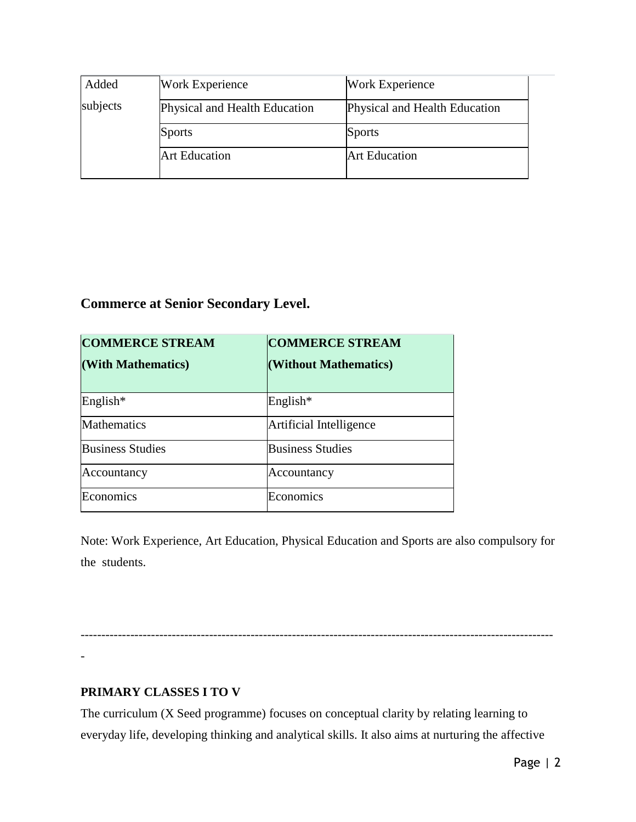| Added    | <b>Work Experience</b>        | <b>Work Experience</b>        |
|----------|-------------------------------|-------------------------------|
| subjects | Physical and Health Education | Physical and Health Education |
|          | <b>Sports</b>                 | <b>Sports</b>                 |
|          | <b>Art Education</b>          | <b>Art Education</b>          |
|          |                               |                               |

# **Commerce at Senior Secondary Level.**

| <b>COMMERCE STREAM</b><br>(With Mathematics) | <b>COMMERCE STREAM</b><br>(Without Mathematics) |
|----------------------------------------------|-------------------------------------------------|
| English <sup>*</sup>                         | English*                                        |
| <b>Mathematics</b>                           | Artificial Intelligence                         |
| <b>Business Studies</b>                      | <b>Business Studies</b>                         |
| Accountancy                                  | Accountancy                                     |
| Economics                                    | Economics                                       |

Note: Work Experience, Art Education, Physical Education and Sports are also compulsory for the students.

------------------------------------------------------------------------------------------------------------------ -

## **PRIMARY CLASSES I TO V**

The curriculum (X Seed programme) focuses on conceptual clarity by relating learning to everyday life, developing thinking and analytical skills. It also aims at nurturing the affective